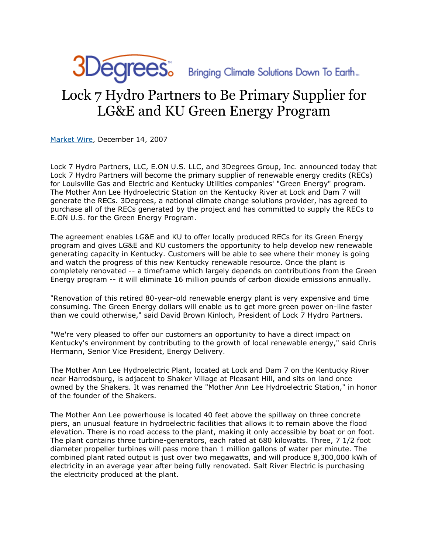

JDegrees Bringing Climate Solutions Down To Earth

## Lock 7 Hydro Partners to Be Primary Supplier for LG&E and KU Green Energy Program

[Market Wire,](http://findarticles.com/p/articles/mi_pwwi/) December 14, 2007

Lock 7 Hydro Partners, LLC, E.ON U.S. LLC, and 3Degrees Group, Inc. announced today that Lock 7 Hydro Partners will become the primary supplier of renewable energy credits (RECs) for Louisville Gas and Electric and Kentucky Utilities companies' "Green Energy" program. The Mother Ann Lee Hydroelectric Station on the Kentucky River at Lock and Dam 7 will generate the RECs. 3Degrees, a national climate change solutions provider, has agreed to purchase all of the RECs generated by the project and has committed to supply the RECs to E.ON U.S. for the Green Energy Program.

The agreement enables LG&E and KU to offer locally produced RECs for its Green Energy program and gives LG&E and KU customers the opportunity to help develop new renewable generating capacity in Kentucky. Customers will be able to see where their money is going and watch the progress of this new Kentucky renewable resource. Once the plant is completely renovated -- a timeframe which largely depends on contributions from the Green Energy program -- it will eliminate 16 million pounds of carbon dioxide emissions annually.

"Renovation of this retired 80-year-old renewable energy plant is very expensive and time consuming. The Green Energy dollars will enable us to get more green power on-line faster than we could otherwise," said David Brown Kinloch, President of Lock 7 Hydro Partners.

"We're very pleased to offer our customers an opportunity to have a direct impact on Kentucky's environment by contributing to the growth of local renewable energy," said Chris Hermann, Senior Vice President, Energy Delivery.

The Mother Ann Lee Hydroelectric Plant, located at Lock and Dam 7 on the Kentucky River near Harrodsburg, is adjacent to Shaker Village at Pleasant Hill, and sits on land once owned by the Shakers. It was renamed the "Mother Ann Lee Hydroelectric Station," in honor of the founder of the Shakers.

The Mother Ann Lee powerhouse is located 40 feet above the spillway on three concrete piers, an unusual feature in hydroelectric facilities that allows it to remain above the flood elevation. There is no road access to the plant, making it only accessible by boat or on foot. The plant contains three turbine-generators, each rated at 680 kilowatts. Three, 7 1/2 foot diameter propeller turbines will pass more than 1 million gallons of water per minute. The combined plant rated output is just over two megawatts, and will produce 8,300,000 kWh of electricity in an average year after being fully renovated. Salt River Electric is purchasing the electricity produced at the plant.